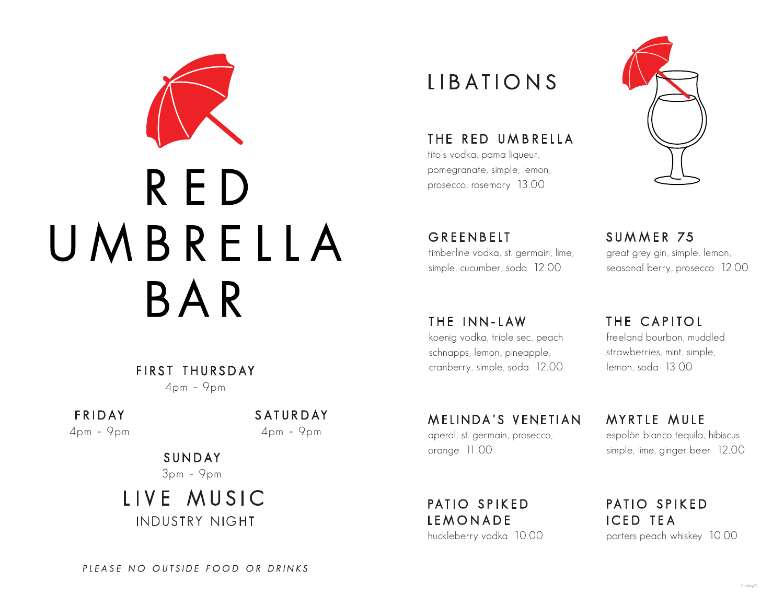

FIRST THURSDAY 4pm – 9pm

FR IDAY 4pm – 9pm SATUR DAY 4pm – 9pm

SUNDAY 3pm – 9pm

LIVE MUSIC INDUSTRY NIGHT

## LIBATIONS

THE RED UMBRELLA tito's vodka, pama liqueur,

pomegranate, simple, lemon, prosecco, rosemary 13.00

**GREENBELT** timberline vodka, st. germain, lime, simple, cucumber, soda 12.00

SUMMER 75 great grey gin, simple, lemon, seasonal berry, prosecco 12.00

THE INN - LAW koenig vodka, triple sec, peach schnapps, lemon, pineapple, cranberry, simple, soda 12.00

MELINDA'S VENETIAN aperol, st. germain, prosecco, orange 11.00

PATIO SPIKED LEMONADE huckleberry vodka 10.00 THE CAPITOL freeland bourbon, muddled strawberries, mint, simple, lemon, soda 13.00

MYRTLE MULE espolòn blanco tequila, hibiscus simple, lime, ginger beer 12.00

PATIO SPIKED ICED TEA porters peach whiskey 10.00

PLEASE NO OUTSIDE FOOD OR DRINKS